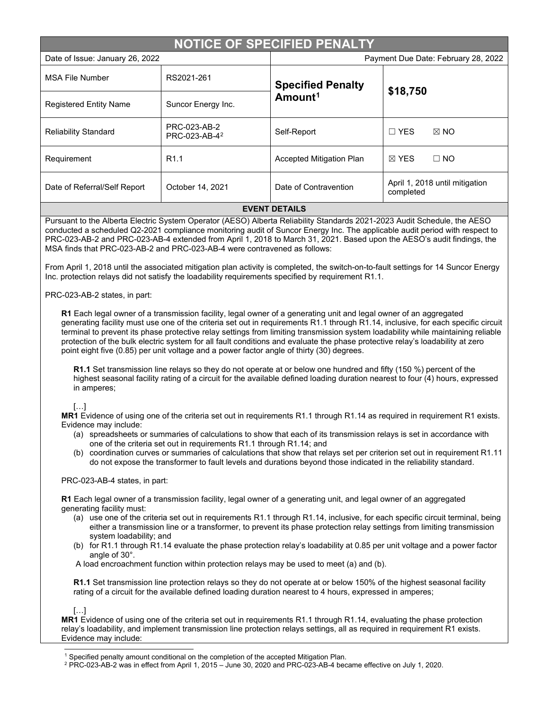| <b>NOTICE OF SPECIFIED PENALTY</b> |                                           |                                                 |                                             |  |
|------------------------------------|-------------------------------------------|-------------------------------------------------|---------------------------------------------|--|
| Date of Issue: January 26, 2022    |                                           | Payment Due Date: February 28, 2022             |                                             |  |
| <b>MSA File Number</b>             | RS2021-261                                | <b>Specified Penalty</b><br>Amount <sup>1</sup> | \$18,750                                    |  |
| <b>Registered Entity Name</b>      | Suncor Energy Inc.                        |                                                 |                                             |  |
| <b>Reliability Standard</b>        | PRC-023-AB-2<br>PRC-023-AB-4 <sup>2</sup> | Self-Report                                     | $\boxtimes$ NO<br>$\Box$ YES                |  |
| Requirement                        | R <sub>1.1</sub>                          | <b>Accepted Mitigation Plan</b>                 | $\boxtimes$ YES<br>$\Box$ NO                |  |
| Date of Referral/Self Report       | October 14, 2021                          | Date of Contravention                           | April 1, 2018 until mitigation<br>completed |  |
| <b>EVENT DETAILS</b>               |                                           |                                                 |                                             |  |

Pursuant to the Alberta Electric System Operator (AESO) Alberta Reliability Standards 2021-2023 Audit Schedule, the AESO conducted a scheduled Q2-2021 compliance monitoring audit of Suncor Energy Inc. The applicable audit period with respect to PRC-023-AB-2 and PRC-023-AB-4 extended from April 1, 2018 to March 31, 2021. Based upon the AESO's audit findings, the MSA finds that PRC-023-AB-2 and PRC-023-AB-4 were contravened as follows:

From April 1, 2018 until the associated mitigation plan activity is completed, the switch-on-to-fault settings for 14 Suncor Energy Inc. protection relays did not satisfy the loadability requirements specified by requirement R1.1.

### PRC-023-AB-2 states, in part:

**R1** Each legal owner of a transmission facility, legal owner of a generating unit and legal owner of an aggregated generating facility must use one of the criteria set out in requirements R1.1 through R1.14, inclusive, for each specific circuit terminal to prevent its phase protective relay settings from limiting transmission system loadability while maintaining reliable protection of the bulk electric system for all fault conditions and evaluate the phase protective relay's loadability at zero point eight five (0.85) per unit voltage and a power factor angle of thirty (30) degrees.

**R1.1** Set transmission line relays so they do not operate at or below one hundred and fifty (150 %) percent of the highest seasonal facility rating of a circuit for the available defined loading duration nearest to four (4) hours, expressed in amperes;

# […]

**MR1** Evidence of using one of the criteria set out in requirements R1.1 through R1.14 as required in requirement R1 exists. Evidence may include:

- (a) spreadsheets or summaries of calculations to show that each of its transmission relays is set in accordance with one of the criteria set out in requirements R1.1 through R1.14; and
- (b) coordination curves or summaries of calculations that show that relays set per criterion set out in requirement R1.11 do not expose the transformer to fault levels and durations beyond those indicated in the reliability standard.

### PRC-023-AB-4 states, in part:

**R1** Each legal owner of a transmission facility, legal owner of a generating unit, and legal owner of an aggregated generating facility must:

- (a) use one of the criteria set out in requirements R1.1 through R1.14, inclusive, for each specific circuit terminal, being either a transmission line or a transformer, to prevent its phase protection relay settings from limiting transmission system loadability; and
- (b) for R1.1 through R1.14 evaluate the phase protection relay's loadability at 0.85 per unit voltage and a power factor angle of 30°.

A load encroachment function within protection relays may be used to meet (a) and (b).

**R1.1** Set transmission line protection relays so they do not operate at or below 150% of the highest seasonal facility rating of a circuit for the available defined loading duration nearest to 4 hours, expressed in amperes;

[…]

**MR1** Evidence of using one of the criteria set out in requirements R1.1 through R1.14, evaluating the phase protection relay's loadability, and implement transmission line protection relays settings, all as required in requirement R1 exists. Evidence may include:

<sup>&</sup>lt;sup>1</sup> Specified penalty amount conditional on the completion of the accepted Mitigation Plan.

<span id="page-0-1"></span><span id="page-0-0"></span><sup>2</sup> PRC-023-AB-2 was in effect from April 1, 2015 – June 30, 2020 and PRC-023-AB-4 became effective on July 1, 2020.